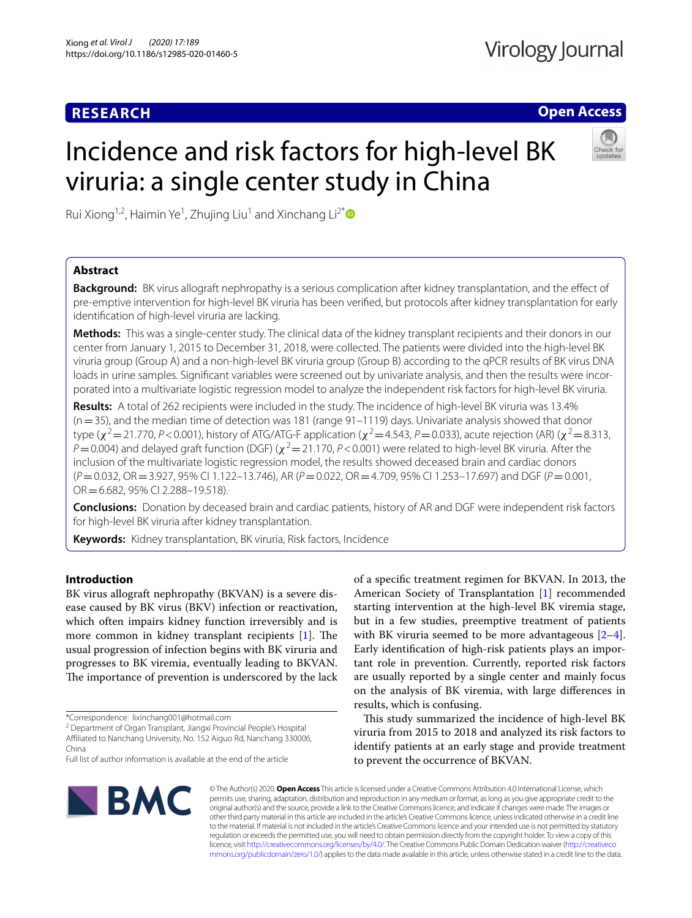# **RESEARCH**

# **Open Access**

# Incidence and risk factors for high-level BK viruria: a single center study in China



Rui Xiong<sup>1,2</sup>, Haimin Ye<sup>1</sup>, Zhujing Liu<sup>1</sup> and Xinchang Li<sup>2[\\*](http://orcid.org/0000-0003-2765-1236)</sup>

## **Abstract**

**Background:** BK virus allograft nephropathy is a serious complication after kidney transplantation, and the efect of pre-emptive intervention for high-level BK viruria has been verifed, but protocols after kidney transplantation for early identifcation of high-level viruria are lacking.

**Methods:** This was a single-center study. The clinical data of the kidney transplant recipients and their donors in our center from January 1, 2015 to December 31, 2018, were collected. The patients were divided into the high-level BK viruria group (Group A) and a non-high-level BK viruria group (Group B) according to the qPCR results of BK virus DNA loads in urine samples. Signifcant variables were screened out by univariate analysis, and then the results were incorporated into a multivariate logistic regression model to analyze the independent risk factors for high-level BK viruria.

**Results:** A total of 262 recipients were included in the study. The incidence of high-level BK viruria was 13.4%  $(n=35)$ , and the median time of detection was 181 (range 91-1119) days. Univariate analysis showed that donor type ( $\chi^2$  = 21.770, *P* < 0.001), history of ATG/ATG-F application ( $\chi^2$  = 4.543, *P* = 0.033), acute rejection (AR) ( $\chi^2$  = 8.313,  $P=0.004$ ) and delayed graft function (DGF) ( $\chi^2=21.170$ ,  $P<0.001$ ) were related to high-level BK viruria. After the inclusion of the multivariate logistic regression model, the results showed deceased brain and cardiac donors (*P*=0.032, OR=3.927, 95% CI 1.122–13.746), AR (*P*=0.022, OR=4.709, 95% CI 1.253–17.697) and DGF (*P*=0.001, OR=6.682, 95% CI 2.288–19.518).

**Conclusions:** Donation by deceased brain and cardiac patients, history of AR and DGF were independent risk factors for high-level BK viruria after kidney transplantation.

**Keywords:** Kidney transplantation, BK viruria, Risk factors, Incidence

## **Introduction**

BK virus allograft nephropathy (BKVAN) is a severe disease caused by BK virus (BKV) infection or reactivation, which often impairs kidney function irreversibly and is more common in kidney transplant recipients  $[1]$  $[1]$ . The usual progression of infection begins with BK viruria and progresses to BK viremia, eventually leading to BKVAN. The importance of prevention is underscored by the lack

\*Correspondence: lixinchang001@hotmail.com

<sup>2</sup> Department of Organ Transplant, Jiangxi Provincial People's Hospital Afliated to Nanchang University, No. 152 Aiguo Rd, Nanchang 330006, China

of a specifc treatment regimen for BKVAN. In 2013, the American Society of Transplantation [\[1](#page-5-0)] recommended starting intervention at the high-level BK viremia stage, but in a few studies, preemptive treatment of patients with BK viruria seemed to be more advantageous [\[2](#page-5-1)[–4](#page-5-2)]. Early identifcation of high-risk patients plays an important role in prevention. Currently, reported risk factors are usually reported by a single center and mainly focus on the analysis of BK viremia, with large diferences in results, which is confusing.

This study summarized the incidence of high-level BK viruria from 2015 to 2018 and analyzed its risk factors to identify patients at an early stage and provide treatment to prevent the occurrence of BKVAN.



© The Author(s) 2020. **Open Access** This article is licensed under a Creative Commons Attribution 4.0 International License, which permits use, sharing, adaptation, distribution and reproduction in any medium or format, as long as you give appropriate credit to the original author(s) and the source, provide a link to the Creative Commons licence, and indicate if changes were made. The images or other third party material in this article are included in the article's Creative Commons licence, unless indicated otherwise in a credit line to the material. If material is not included in the article's Creative Commons licence and your intended use is not permitted by statutory regulation or exceeds the permitted use, you will need to obtain permission directly from the copyright holder. To view a copy of this licence, visit [http://creativecommons.org/licenses/by/4.0/.](http://creativecommons.org/licenses/by/4.0/) The Creative Commons Public Domain Dedication waiver ([http://creativeco](http://creativecommons.org/publicdomain/zero/1.0/) [mmons.org/publicdomain/zero/1.0/](http://creativecommons.org/publicdomain/zero/1.0/)) applies to the data made available in this article, unless otherwise stated in a credit line to the data.

Full list of author information is available at the end of the article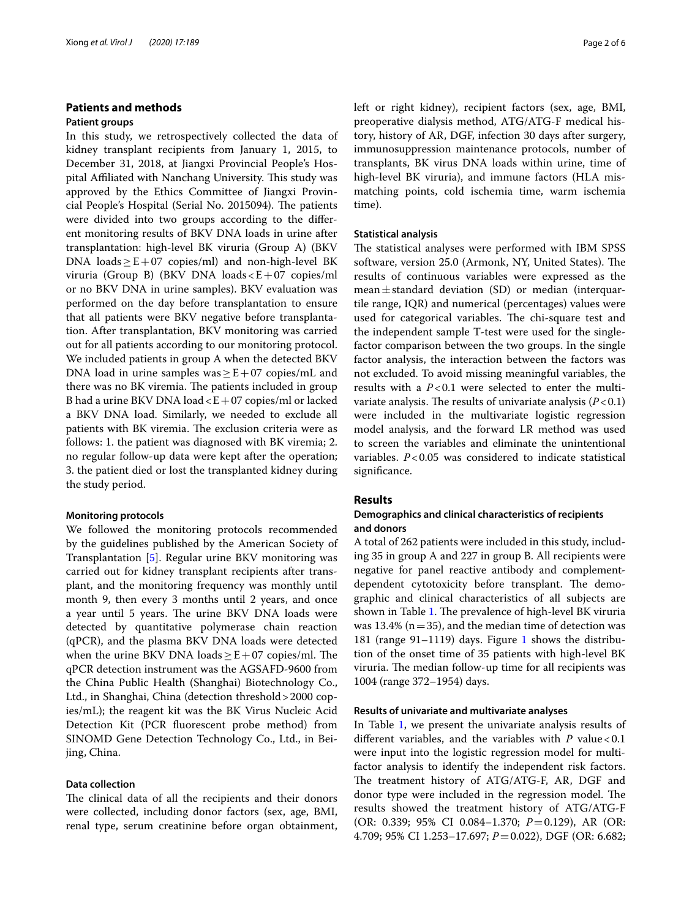## **Patients and methods**

## **Patient groups**

In this study, we retrospectively collected the data of kidney transplant recipients from January 1, 2015, to December 31, 2018, at Jiangxi Provincial People's Hospital Affiliated with Nanchang University. This study was approved by the Ethics Committee of Jiangxi Provincial People's Hospital (Serial No. 2015094). The patients were divided into two groups according to the diferent monitoring results of BKV DNA loads in urine after transplantation: high-level BK viruria (Group A) (BKV DNA loads  $\geq$  E + 07 copies/ml) and non-high-level BK viruria (Group B) (BKV DNA loads  $E+07$  copies/ml or no BKV DNA in urine samples). BKV evaluation was performed on the day before transplantation to ensure that all patients were BKV negative before transplantation. After transplantation, BKV monitoring was carried out for all patients according to our monitoring protocol. We included patients in group A when the detected BKV DNA load in urine samples was  $\geq$  E+07 copies/mL and there was no BK viremia. The patients included in group B had a urine BKV DNA load  $\lt E+07$  copies/ml or lacked a BKV DNA load. Similarly, we needed to exclude all patients with BK viremia. The exclusion criteria were as follows: 1. the patient was diagnosed with BK viremia; 2. no regular follow-up data were kept after the operation; 3. the patient died or lost the transplanted kidney during the study period.

### **Monitoring protocols**

We followed the monitoring protocols recommended by the guidelines published by the American Society of Transplantation [[5\]](#page-5-3). Regular urine BKV monitoring was carried out for kidney transplant recipients after transplant, and the monitoring frequency was monthly until month 9, then every 3 months until 2 years, and once a year until 5 years. The urine BKV DNA loads were detected by quantitative polymerase chain reaction (qPCR), and the plasma BKV DNA loads were detected when the urine BKV DNA loads  $\geq$  E + 07 copies/ml. The qPCR detection instrument was the AGSAFD-9600 from the China Public Health (Shanghai) Biotechnology Co., Ltd., in Shanghai, China (detection threshold>2000 copies/mL); the reagent kit was the BK Virus Nucleic Acid Detection Kit (PCR fuorescent probe method) from SINOMD Gene Detection Technology Co., Ltd., in Beijing, China.

## **Data collection**

The clinical data of all the recipients and their donors were collected, including donor factors (sex, age, BMI, renal type, serum creatinine before organ obtainment, left or right kidney), recipient factors (sex, age, BMI, preoperative dialysis method, ATG/ATG-F medical history, history of AR, DGF, infection 30 days after surgery, immunosuppression maintenance protocols, number of transplants, BK virus DNA loads within urine, time of high-level BK viruria), and immune factors (HLA mismatching points, cold ischemia time, warm ischemia time).

#### **Statistical analysis**

The statistical analyses were performed with IBM SPSS software, version 25.0 (Armonk, NY, United States). The results of continuous variables were expressed as the  $mean \pm standard$  deviation (SD) or median (interquartile range, IQR) and numerical (percentages) values were used for categorical variables. The chi-square test and the independent sample T-test were used for the singlefactor comparison between the two groups. In the single factor analysis, the interaction between the factors was not excluded. To avoid missing meaningful variables, the results with a *P*<0.1 were selected to enter the multivariate analysis. The results of univariate analysis  $(P < 0.1)$ were included in the multivariate logistic regression model analysis, and the forward LR method was used to screen the variables and eliminate the unintentional variables. *P*<0.05 was considered to indicate statistical significance.

## **Results**

## **Demographics and clinical characteristics of recipients and donors**

A total of 262 patients were included in this study, including 35 in group A and 227 in group B. All recipients were negative for panel reactive antibody and complementdependent cytotoxicity before transplant. The demographic and clinical characteristics of all subjects are shown in Table [1.](#page-2-0) The prevalence of high-level BK viruria was 13.4% ( $n=35$ ), and the median time of detection was 18[1](#page-3-0) (range 91-1119) days. Figure 1 shows the distribution of the onset time of 35 patients with high-level BK viruria. The median follow-up time for all recipients was 1004 (range 372–1954) days.

#### **Results of univariate and multivariate analyses**

In Table [1,](#page-2-0) we present the univariate analysis results of different variables, and the variables with  $P$  value < 0.1 were input into the logistic regression model for multifactor analysis to identify the independent risk factors. The treatment history of ATG/ATG-F, AR, DGF and donor type were included in the regression model. The results showed the treatment history of ATG/ATG-F (OR: 0.339; 95% CI 0.084–1.370; *P*=0.129), AR (OR: 4.709; 95% CI 1.253–17.697; *P*=0.022), DGF (OR: 6.682;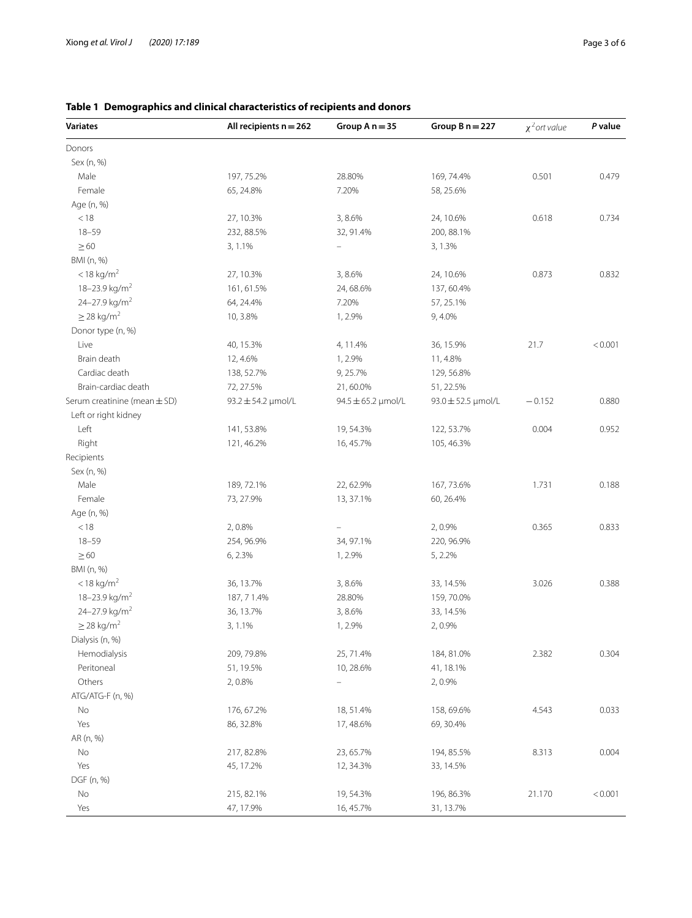| <b>Variates</b>              | All recipients $n = 262$    | Group $A n = 35$                   | Group $B n = 227$      | $\chi^2$ ort value | P value |
|------------------------------|-----------------------------|------------------------------------|------------------------|--------------------|---------|
| Donors                       |                             |                                    |                        |                    |         |
| Sex (n, %)                   |                             |                                    |                        |                    |         |
| Male                         | 197, 75.2%                  | 28.80%                             | 169, 74.4%             | 0.501              | 0.479   |
| Female                       | 65, 24.8%                   | 7.20%                              | 58, 25.6%              |                    |         |
| Age (n, %)                   |                             |                                    |                        |                    |         |
| < 18                         | 27, 10.3%                   | 3,8.6%                             | 24, 10.6%              | 0.618              | 0.734   |
| $18 - 59$                    | 232, 88.5%                  | 32, 91.4%                          | 200, 88.1%             |                    |         |
| $\geq 60$                    | 3, 1.1%                     | $\equiv$                           | 3, 1.3%                |                    |         |
| BMI (n, %)                   |                             |                                    |                        |                    |         |
| $<$ 18 kg/m <sup>2</sup>     | 27, 10.3%                   | 3,8.6%                             | 24, 10.6%              | 0.873              | 0.832   |
| 18-23.9 kg/m <sup>2</sup>    | 161, 61.5%                  | 24, 68.6%                          | 137, 60.4%             |                    |         |
| 24-27.9 kg/m <sup>2</sup>    | 64, 24.4%                   | 7.20%                              | 57, 25.1%              |                    |         |
| $\geq$ 28 kg/m <sup>2</sup>  | 10, 3.8%                    | 1, 2.9%                            | 9, 4.0%                |                    |         |
| Donor type (n, %)            |                             |                                    |                        |                    |         |
| Live                         | 40, 15.3%                   | 4, 11.4%                           | 36, 15.9%              | 21.7               | < 0.001 |
| Brain death                  | 12, 4.6%                    | 1, 2.9%                            | 11, 4.8%               |                    |         |
| Cardiac death                | 138, 52.7%                  | 9, 25.7%                           | 129, 56.8%             |                    |         |
| Brain-cardiac death          | 72, 27.5%                   | 21,60.0%                           | 51, 22.5%              |                    |         |
| Serum creatinine (mean ± SD) | $93.2 \pm 54.2 \,\mu$ mol/L | $94.5 \pm 65.2 \,\text{\mu}$ mol/L | $93.0 \pm 52.5$ µmol/L | $-0.152$           | 0.880   |
| Left or right kidney         |                             |                                    |                        |                    |         |
| Left                         | 141,53.8%                   | 19, 54.3%                          | 122, 53.7%             | 0.004              | 0.952   |
| Right                        | 121, 46.2%                  | 16, 45.7%                          | 105, 46.3%             |                    |         |
| Recipients                   |                             |                                    |                        |                    |         |
| Sex (n, %)                   |                             |                                    |                        |                    |         |
| Male                         | 189, 72.1%                  | 22, 62.9%                          | 167, 73.6%             | 1.731              | 0.188   |
| Female                       | 73, 27.9%                   | 13, 37.1%                          | 60, 26.4%              |                    |         |
|                              |                             |                                    |                        |                    |         |
| Age (n, %)                   |                             |                                    |                        |                    |         |
| < 18                         | 2,0.8%                      | $\qquad \qquad -$                  | 2,0.9%                 | 0.365              | 0.833   |
| $18 - 59$                    | 254, 96.9%                  | 34, 97.1%                          | 220, 96.9%             |                    |         |
| $\geq 60$                    | 6, 2.3%                     | 1, 2.9%                            | 5, 2.2%                |                    |         |
| BMI (n, %)                   |                             |                                    |                        |                    |         |
| $<$ 18 kg/m <sup>2</sup>     | 36, 13.7%                   | 3,8.6%                             | 33, 14.5%              | 3.026              | 0.388   |
| 18-23.9 kg/m <sup>2</sup>    | 187, 71.4%                  | 28.80%                             | 159, 70.0%             |                    |         |
| 24-27.9 kg/m <sup>2</sup>    | 36, 13.7%                   | 3,8.6%                             | 33, 14.5%              |                    |         |
| $\geq$ 28 kg/m <sup>2</sup>  | 3, 1.1%                     | 1, 2.9%                            | 2,0.9%                 |                    |         |
| Dialysis (n, %)              |                             |                                    |                        |                    |         |
| Hemodialysis                 | 209, 79.8%                  | 25, 71.4%                          | 184, 81.0%             | 2.382              | 0.304   |
| Peritoneal                   | 51, 19.5%                   | 10, 28.6%                          | 41, 18.1%              |                    |         |
| Others                       | 2,0.8%                      | $\overline{\phantom{0}}$           | 2,0.9%                 |                    |         |
| ATG/ATG-F (n, %)             |                             |                                    |                        |                    |         |
| No                           | 176, 67.2%                  | 18, 51.4%                          | 158,69.6%              | 4.543              | 0.033   |
| Yes                          | 86, 32.8%                   | 17,48.6%                           | 69, 30.4%              |                    |         |
| AR (n, %)                    |                             |                                    |                        |                    |         |
| No                           | 217, 82.8%                  | 23, 65.7%                          | 194, 85.5%             | 8.313              | 0.004   |
| Yes                          | 45, 17.2%                   | 12, 34.3%                          | 33, 14.5%              |                    |         |
| DGF (n, %)                   |                             |                                    |                        |                    |         |
| No                           | 215, 82.1%                  | 19, 54.3%                          | 196, 86.3%             | 21.170             | < 0.001 |
| Yes                          | 47, 17.9%                   | 16, 45.7%                          | 31, 13.7%              |                    |         |

# <span id="page-2-0"></span>**Table 1 Demographics and clinical characteristics of recipients and donors**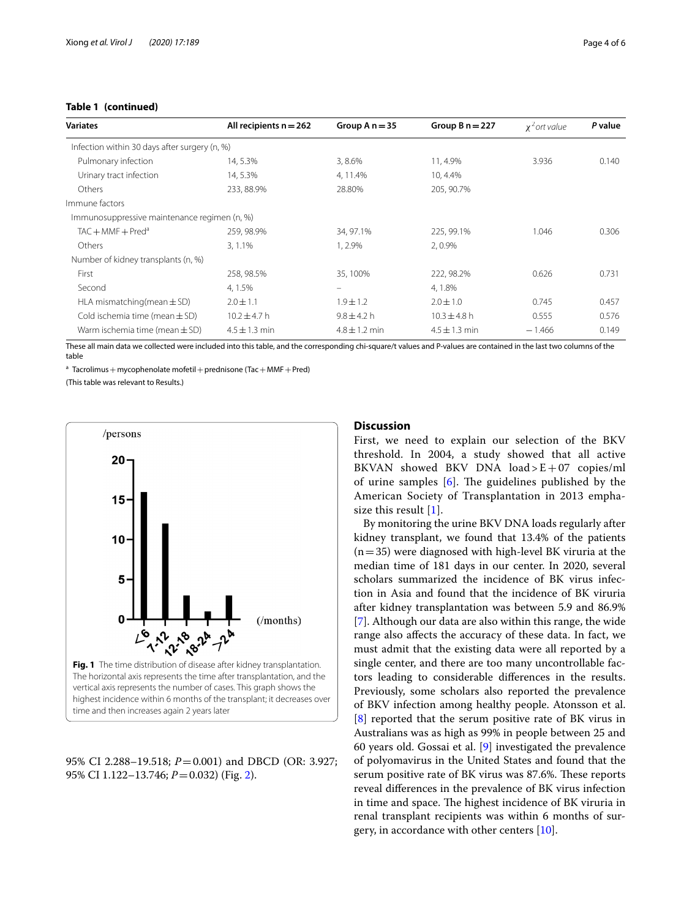## **Table 1 (continued)**

| <b>Variates</b>                               | All recipients $n = 262$ | Group $A n = 35$  | Group $B n = 227$ | $\chi^2$ ort value | P value |
|-----------------------------------------------|--------------------------|-------------------|-------------------|--------------------|---------|
| Infection within 30 days after surgery (n, %) |                          |                   |                   |                    |         |
| Pulmonary infection                           | 14, 5.3%                 | 3,8.6%            | 11, 4.9%          | 3.936              | 0.140   |
| Urinary tract infection                       | 14, 5.3%                 | 4, 11.4%          | 10, 4.4%          |                    |         |
| Others                                        | 233, 88.9%               | 28.80%            | 205, 90.7%        |                    |         |
| Immune factors                                |                          |                   |                   |                    |         |
| Immunosuppressive maintenance regimen (n, %)  |                          |                   |                   |                    |         |
| $TAC + MMF + Pred^a$                          | 259, 98.9%               | 34, 97.1%         | 225, 99.1%        | 1.046              | 0.306   |
| Others                                        | 3, 1.1%                  | 1, 2.9%           | 2,0.9%            |                    |         |
| Number of kidney transplants (n, %)           |                          |                   |                   |                    |         |
| First                                         | 258, 98.5%               | 35, 100%          | 222, 98.2%        | 0.626              | 0.731   |
| Second                                        | 4, 1.5%                  | $\equiv$          | 4, 1.8%           |                    |         |
| HLA mismatching (mean $\pm$ SD)               | $2.0 + 1.1$              | $1.9 \pm 1.2$     | $2.0 \pm 1.0$     | 0.745              | 0.457   |
| Cold ischemia time (mean $\pm$ SD)            | $10.2 \pm 4.7$ h         | $9.8 \pm 4.2 h$   | $10.3 \pm 4.8$ h  | 0.555              | 0.576   |
| Warm ischemia time (mean $\pm$ SD)            | $4.5 \pm 1.3$ min        | $4.8 \pm 1.2$ min | $4.5 \pm 1.3$ min | $-1.466$           | 0.149   |

These all main data we collected were included into this table, and the corresponding chi-square/t values and P-values are contained in the last two columns of the table

<sup>a</sup> Tacrolimus + mycophenolate mofetil + prednisone (Tac + MMF + Pred)

(This table was relevant to Results.)



<span id="page-3-0"></span>95% CI 2.288–19.518; *P*=0.001) and DBCD (OR: 3.927; 95% CI 1.122–13.746; *P*=0.032) (Fig. [2\)](#page-4-0).

## **Discussion**

First, we need to explain our selection of the BKV threshold. In 2004, a study showed that all active BKVAN showed BKV DNA  $load > E + 07$  copies/ml of urine samples  $[6]$  $[6]$ . The guidelines published by the American Society of Transplantation in 2013 emphasize this result [[1\]](#page-5-0).

By monitoring the urine BKV DNA loads regularly after kidney transplant, we found that 13.4% of the patients  $(n=35)$  were diagnosed with high-level BK viruria at the median time of 181 days in our center. In 2020, several scholars summarized the incidence of BK virus infection in Asia and found that the incidence of BK viruria after kidney transplantation was between 5.9 and 86.9% [[7\]](#page-5-5). Although our data are also within this range, the wide range also afects the accuracy of these data. In fact, we must admit that the existing data were all reported by a single center, and there are too many uncontrollable factors leading to considerable diferences in the results. Previously, some scholars also reported the prevalence of BKV infection among healthy people. Atonsson et al. [[8\]](#page-5-6) reported that the serum positive rate of BK virus in Australians was as high as 99% in people between 25 and 60 years old. Gossai et al. [[9\]](#page-5-7) investigated the prevalence of polyomavirus in the United States and found that the serum positive rate of BK virus was 87.6%. These reports reveal diferences in the prevalence of BK virus infection in time and space. The highest incidence of BK viruria in renal transplant recipients was within 6 months of surgery, in accordance with other centers [[10\]](#page-5-8).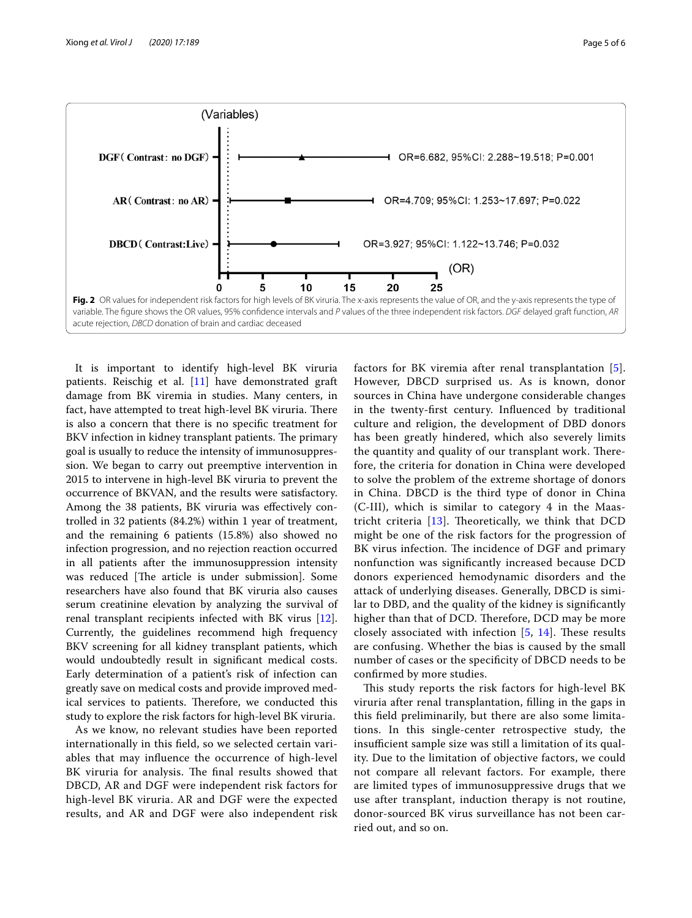

<span id="page-4-0"></span>It is important to identify high-level BK viruria patients. Reischig et al. [[11\]](#page-5-9) have demonstrated graft damage from BK viremia in studies. Many centers, in fact, have attempted to treat high-level BK viruria. There is also a concern that there is no specifc treatment for BKV infection in kidney transplant patients. The primary goal is usually to reduce the intensity of immunosuppression. We began to carry out preemptive intervention in 2015 to intervene in high-level BK viruria to prevent the occurrence of BKVAN, and the results were satisfactory. Among the 38 patients, BK viruria was efectively controlled in 32 patients (84.2%) within 1 year of treatment, and the remaining 6 patients (15.8%) also showed no infection progression, and no rejection reaction occurred in all patients after the immunosuppression intensity was reduced [The article is under submission]. Some researchers have also found that BK viruria also causes serum creatinine elevation by analyzing the survival of renal transplant recipients infected with BK virus [\[12](#page-5-10)]. Currently, the guidelines recommend high frequency BKV screening for all kidney transplant patients, which would undoubtedly result in signifcant medical costs. Early determination of a patient's risk of infection can greatly save on medical costs and provide improved medical services to patients. Therefore, we conducted this study to explore the risk factors for high-level BK viruria.

As we know, no relevant studies have been reported internationally in this feld, so we selected certain variables that may infuence the occurrence of high-level BK viruria for analysis. The final results showed that DBCD, AR and DGF were independent risk factors for high-level BK viruria. AR and DGF were the expected results, and AR and DGF were also independent risk factors for BK viremia after renal transplantation [[5](#page-5-3)]. However, DBCD surprised us. As is known, donor sources in China have undergone considerable changes in the twenty-frst century. Infuenced by traditional culture and religion, the development of DBD donors has been greatly hindered, which also severely limits the quantity and quality of our transplant work. Therefore, the criteria for donation in China were developed to solve the problem of the extreme shortage of donors in China. DBCD is the third type of donor in China (C-III), which is similar to category 4 in the Maastricht criteria  $[13]$  $[13]$  $[13]$ . Theoretically, we think that DCD might be one of the risk factors for the progression of BK virus infection. The incidence of DGF and primary nonfunction was signifcantly increased because DCD donors experienced hemodynamic disorders and the attack of underlying diseases. Generally, DBCD is similar to DBD, and the quality of the kidney is signifcantly higher than that of DCD. Therefore, DCD may be more closely associated with infection  $[5, 14]$  $[5, 14]$  $[5, 14]$  $[5, 14]$  $[5, 14]$ . These results are confusing. Whether the bias is caused by the small number of cases or the specifcity of DBCD needs to be confrmed by more studies.

This study reports the risk factors for high-level BK viruria after renal transplantation, flling in the gaps in this feld preliminarily, but there are also some limitations. In this single-center retrospective study, the insufficient sample size was still a limitation of its quality. Due to the limitation of objective factors, we could not compare all relevant factors. For example, there are limited types of immunosuppressive drugs that we use after transplant, induction therapy is not routine, donor-sourced BK virus surveillance has not been carried out, and so on.